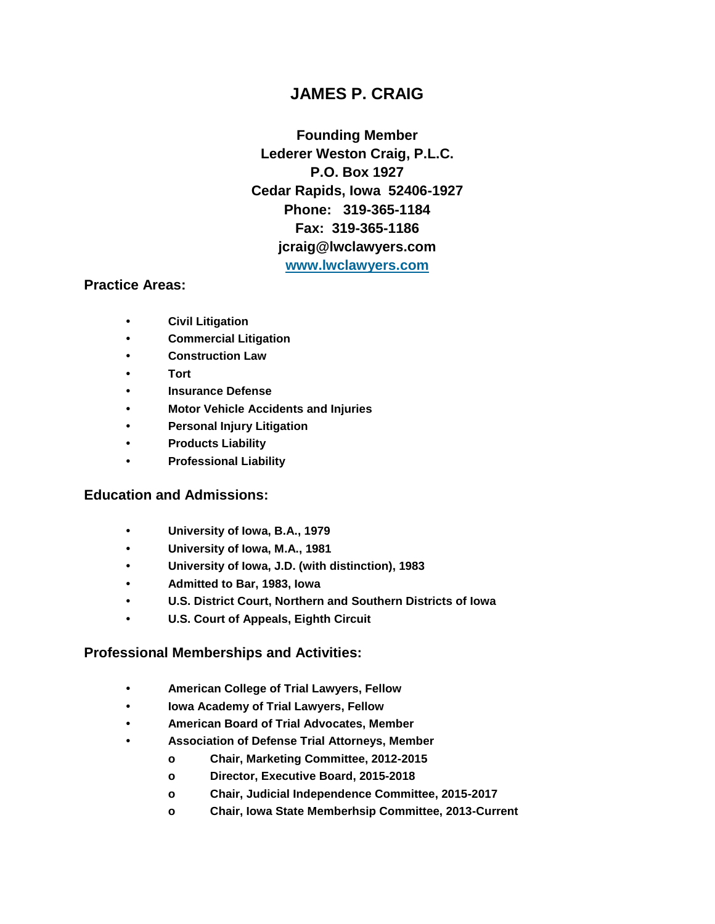# **JAMES P. CRAIG**

**Founding Member Lederer Weston Craig, P.L.C. P.O. Box 1927 Cedar Rapids, Iowa 52406-1927 Phone: 319-365-1184 Fax: 319-365-1186 jcraig@lwclawyers.com [www.lwclawyers.com](http://www.lwclawyers.com/)**

### **Practice Areas:**

- **• Civil Litigation**
- **• Commercial Litigation**
- **• Construction Law**
- **• Tort**
- **• Insurance Defense**
- **• Motor Vehicle Accidents and Injuries**
- **• Personal Injury Litigation**
- **• Products Liability**
- **• Professional Liability**

## **Education and Admissions:**

- **• University of Iowa, B.A., 1979**
- **• University of Iowa, M.A., 1981**
- **• University of Iowa, J.D. (with distinction), 1983**
- **• Admitted to Bar, 1983, Iowa**
- **• U.S. District Court, Northern and Southern Districts of Iowa**
- **• U.S. Court of Appeals, Eighth Circuit**

### **Professional Memberships and Activities:**

- **• American College of Trial Lawyers, Fellow**
- **• Iowa Academy of Trial Lawyers, Fellow**
- **• American Board of Trial Advocates, Member**
- **• Association of Defense Trial Attorneys, Member**
	- **o Chair, Marketing Committee, 2012-2015**
	- **o Director, Executive Board, 2015-2018**
	- **o Chair, Judicial Independence Committee, 2015-2017**
	- **o Chair, Iowa State Memberhsip Committee, 2013-Current**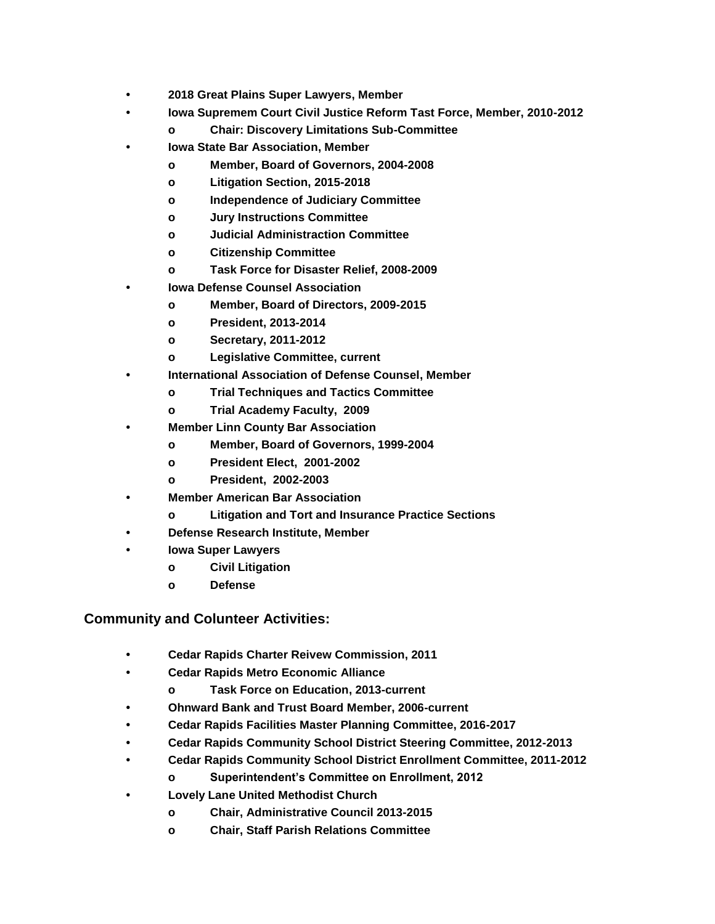- **• 2018 Great Plains Super Lawyers, Member**
	- **• Iowa Supremem Court Civil Justice Reform Tast Force, Member, 2010-2012**
		- **o Chair: Discovery Limitations Sub-Committee**
- **• Iowa State Bar Association, Member**
	- **o Member, Board of Governors, 2004-2008**
	- **o Litigation Section, 2015-2018**
	- **o Independence of Judiciary Committee**
	- **o Jury Instructions Committee**
	- **o Judicial Administraction Committee**
	- **o Citizenship Committee**
	- **o Task Force for Disaster Relief, 2008-2009**
- **• Iowa Defense Counsel Association** 
	- **o Member, Board of Directors, 2009-2015**
	- **o President, 2013-2014**
	- **o Secretary, 2011-2012**
	- **o Legislative Committee, current**
- **• International Association of Defense Counsel, Member**
	- **o Trial Techniques and Tactics Committee**
	- **o Trial Academy Faculty, 2009**
- **• Member Linn County Bar Association** 
	- **o Member, Board of Governors, 1999-2004**
	- **o President Elect, 2001-2002**
	- **o President, 2002-2003**
- **• Member American Bar Association** 
	- **o Litigation and Tort and Insurance Practice Sections**
- **• Defense Research Institute, Member**
- **• Iowa Super Lawyers** 
	- **o Civil Litigation**
	- **o Defense**

# **Community and Colunteer Activities:**

- **• Cedar Rapids Charter Reivew Commission, 2011**
- **• Cedar Rapids Metro Economic Alliance**
	- **o Task Force on Education, 2013-current**
- **• Ohnward Bank and Trust Board Member, 2006-current**
- **• Cedar Rapids Facilities Master Planning Committee, 2016-2017**
- **• Cedar Rapids Community School District Steering Committee, 2012-2013**
- **• Cedar Rapids Community School District Enrollment Committee, 2011-2012**
	- **o Superintendent's Committee on Enrollment, 2012**
- **• Lovely Lane United Methodist Church**
	- **o Chair, Administrative Council 2013-2015**
	- **o Chair, Staff Parish Relations Committee**